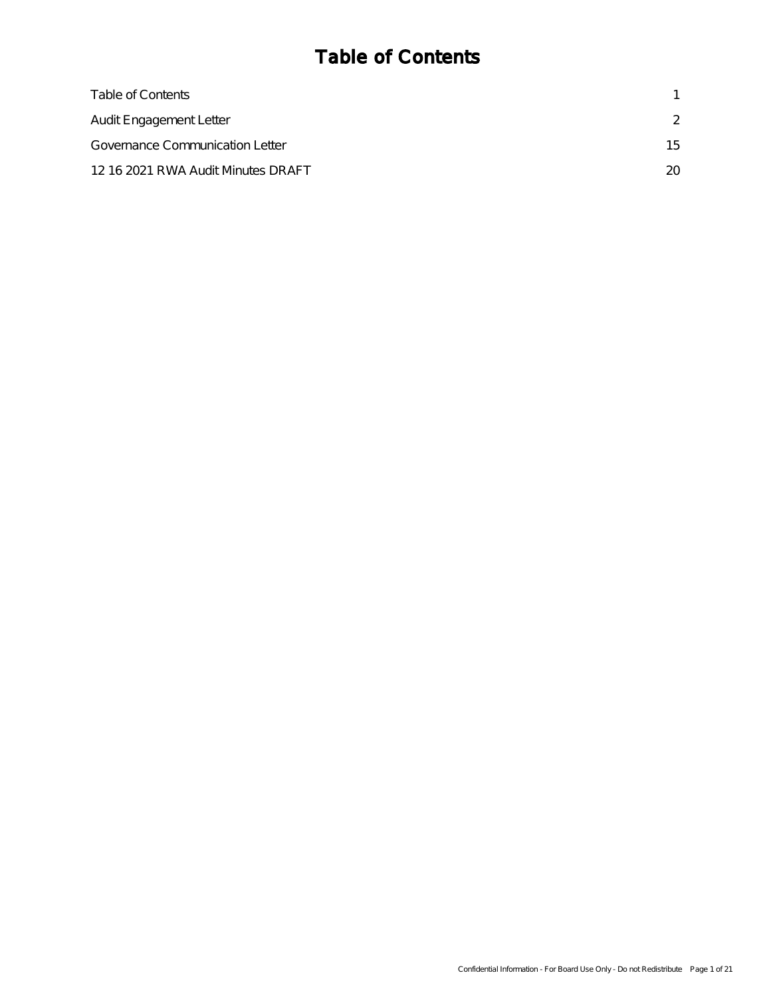# Table of Contents

| Table of Contents                      |     |
|----------------------------------------|-----|
| <b>Audit Engagement Letter</b>         |     |
| <b>Governance Communication Letter</b> | 15  |
| 12 16 2021 RWA Audit Minutes DRAFT     | 20. |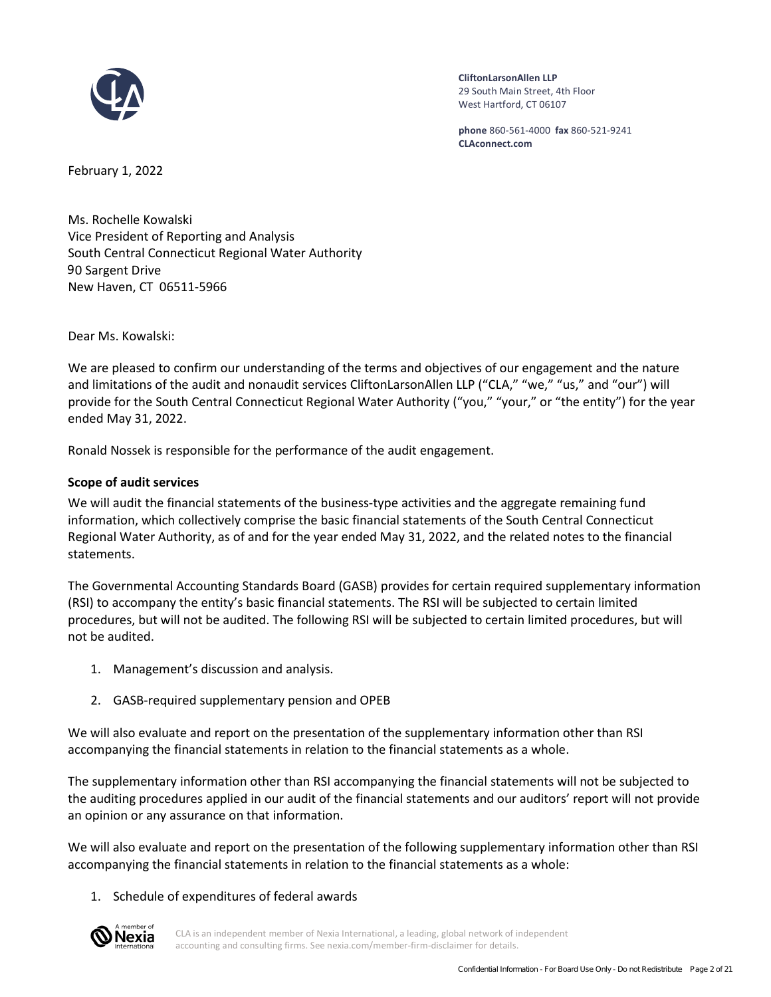<span id="page-1-0"></span>

**CliftonLarsonAllen LLP** 29 South Main Street, 4th Floor West Hartford, CT 06107

**phone** 860-561-4000 **fax** 860-521-9241 **CLAconnect.com**

February 1, 2022

Ms. Rochelle Kowalski Vice President of Reporting and Analysis South Central Connecticut Regional Water Authority 90 Sargent Drive New Haven, CT 06511-5966

Dear Ms. Kowalski:

We are pleased to confirm our understanding of the terms and objectives of our engagement and the nature and limitations of the audit and nonaudit services CliftonLarsonAllen LLP ("CLA," "we," "us," and "our") will provide for the South Central Connecticut Regional Water Authority ("you," "your," or "the entity") for the year ended May 31, 2022.

Ronald Nossek is responsible for the performance of the audit engagement.

# **Scope of audit services**

We will audit the financial statements of the business-type activities and the aggregate remaining fund information, which collectively comprise the basic financial statements of the South Central Connecticut Regional Water Authority, as of and for the year ended May 31, 2022, and the related notes to the financial statements.

The Governmental Accounting Standards Board (GASB) provides for certain required supplementary information (RSI) to accompany the entity's basic financial statements. The RSI will be subjected to certain limited procedures, but will not be audited. The following RSI will be subjected to certain limited procedures, but will not be audited.

- 1. Management's discussion and analysis.
- 2. GASB-required supplementary pension and OPEB

We will also evaluate and report on the presentation of the supplementary information other than RSI accompanying the financial statements in relation to the financial statements as a whole.

The supplementary information other than RSI accompanying the financial statements will not be subjected to the auditing procedures applied in our audit of the financial statements and our auditors' report will not provide an opinion or any assurance on that information.

We will also evaluate and report on the presentation of the following supplementary information other than RSI accompanying the financial statements in relation to the financial statements as a whole:

# 1. Schedule of expenditures of federal awards

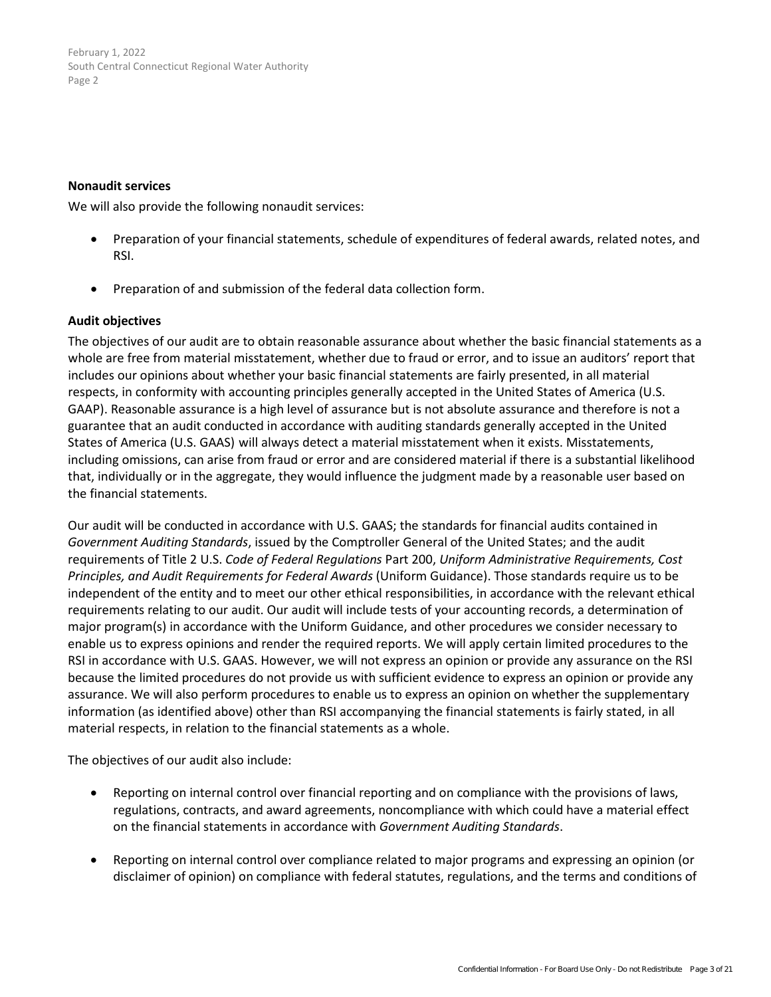#### **Nonaudit services**

We will also provide the following nonaudit services:

- Preparation of your financial statements, schedule of expenditures of federal awards, related notes, and RSI.
- Preparation of and submission of the federal data collection form.

## **Audit objectives**

The objectives of our audit are to obtain reasonable assurance about whether the basic financial statements as a whole are free from material misstatement, whether due to fraud or error, and to issue an auditors' report that includes our opinions about whether your basic financial statements are fairly presented, in all material respects, in conformity with accounting principles generally accepted in the United States of America (U.S. GAAP). Reasonable assurance is a high level of assurance but is not absolute assurance and therefore is not a guarantee that an audit conducted in accordance with auditing standards generally accepted in the United States of America (U.S. GAAS) [w](#page-13-0)ill always detect a material misstatement when it exists. Misstatements, including omissions, can arise from fraud or error and are considered material if there is a substantial likelihood that, individually or in the aggregate, they would influence the judgment made by a reasonable user based on the financial statements.

Our audit will be conducted in accordance with U.S. GAAS; the standards for financial audits contained in *Government Auditing Standards*, issued by the Comptroller General of the United States; and the audit requirements of Title 2 U.S. *Code of Federal Regulations* Part 200, *Uniform Administrative Requirements, Cost Principles, and Audit Requirements for Federal Awards* (Uniform Guidance). Those standards require us to be independent of the entity and to meet our other ethical responsibilities, in accordance with the relevant ethical requirements relating to our audit. Our audit will include tests of your accounting records, a determination of major program(s) in accordance with the Uniform Guidance, and other procedures we consider necessary to enable us to express opinions and render the required reports. We will apply certain limited procedures to the RSI in accordance with U.S. GAAS. However, we will not express an opinion or provide any assurance on the RSI because the limited procedures do not provide us with sufficient evidence to express an opinion or provide any assurance. We will also perform procedures to enable us to express an opinion on whether the supplementary information (as identified above) other than RSI accompanying the financial statements is fairly stated, in all material respects, in relation to the financial statements as a whole.

The objectives of our audit also include:

- Reporting on internal control over financial reporting and on compliance with the provisions of laws, regulations, contracts, and award agreements, noncompliance with which could have a material effect on the financial statements in accordance with *Government Auditing Standards*.
- Reporting on internal control over compliance related to major programs and expressing an opinion (or disclaimer of opinion) on compliance with federal statutes, regulations, and the terms and conditions of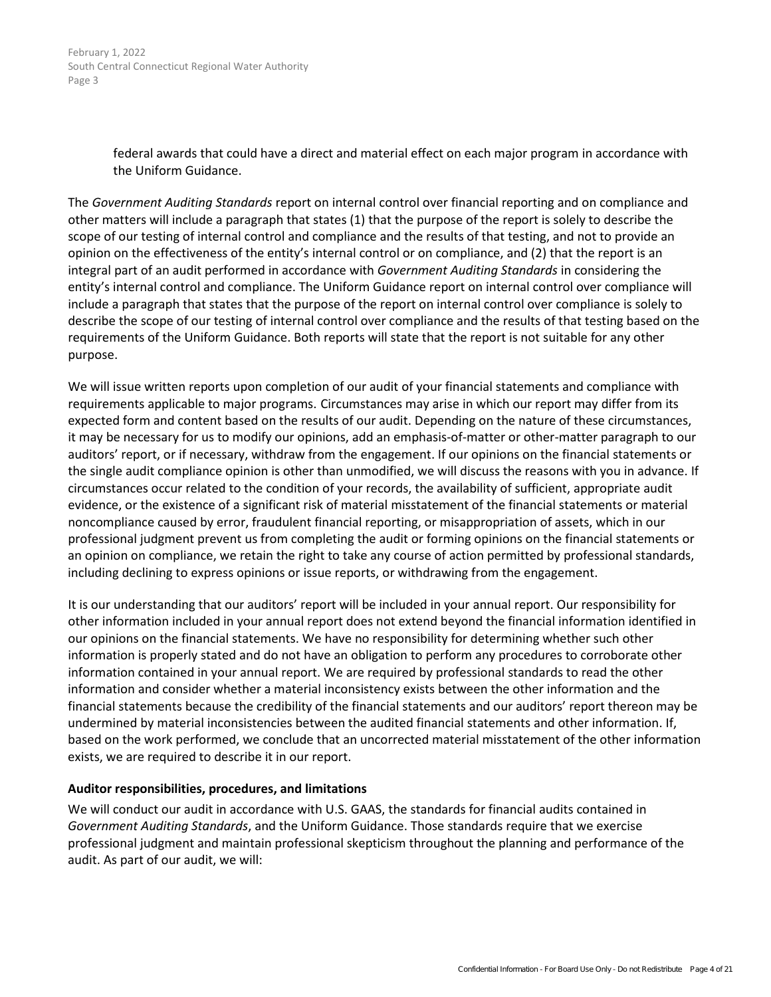> federal awards that could have a direct and material effect on each major program in accordance with the Uniform Guidance.

The *Government Auditing Standards* report on internal control over financial reporting and on compliance and other matters will include a paragraph that states (1) that the purpose of the report is solely to describe the scope of our testing of internal control and compliance and the results of that testing, and not to provide an opinion on the effectiveness of the entity's internal control or on compliance, and (2) that the report is an integral part of an audit performed in accordance with *Government Auditing Standards* in considering the entity's internal control and compliance. The Uniform Guidance report on internal control over compliance will include a paragraph that states that the purpose of the report on internal control over compliance is solely to describe the scope of our testing of internal control over compliance and the results of that testing based on the requirements of the Uniform Guidance. Both reports will state that the report is not suitable for any other purpose.

We will issue written reports upon completion of our audit of your financial statements and compliance with requirements applicable to major programs. [C](#page-13-0)ircumstances may arise in which our report may differ from its expected form and content based on the results of our audit. Depending on the nature of these circumstances, it may be necessary for us to modify our opinions, add an emphasis-of-matter or other-matter paragraph to our auditors' report, or if necessary, withdraw from the engagement. If our opinions on the financial statements or the single audit compliance opinion is other than unmodified, we will discuss the reasons with you in advance. If circumstances occur related to the condition of your records, the availability of sufficient, appropriate audit evidence, or the existence of a significant risk of material misstatement of the financial statements or material noncompliance caused by error, fraudulent financial reporting, or misappropriation of assets, which in our professional judgment prevent us from completing the audit or forming opinions on the financial statements or an opinion on compliance, we retain the right to take any course of action permitted by professional standards, including declining to express opinions or issue reports, or withdrawing from the engagement.

It is our understanding that our auditors' report will be included in your annual report. Our responsibility for other information included in your annual report does not extend beyond the financial information identified in our opinions on the financial statements. We have no responsibility for determining whether such other information is properly stated and do not have an obligation to perform any procedures to corroborate other information contained in your annual report. We are required by professional standards to read the other information and consider whether a material inconsistency exists between the other information and the financial statements because the credibility of the financial statements and our auditors' report thereon may be undermined by material inconsistencies between the audited financial statements and other information. If, based on the work performed, we conclude that an uncorrected material misstatement of the other information exists, we are required to describe it in our report.

#### **Auditor responsibilities, procedures, and limitations**

We will conduct our audit in accordance with U.S. GAAS, the standards for financial audits contained in *Government Auditing Standards*, and the Uniform Guidance. Those standards require that we exercise professional judgment and maintain professional skepticism throughout the planning and performance of the audit. As part of our audit, we will: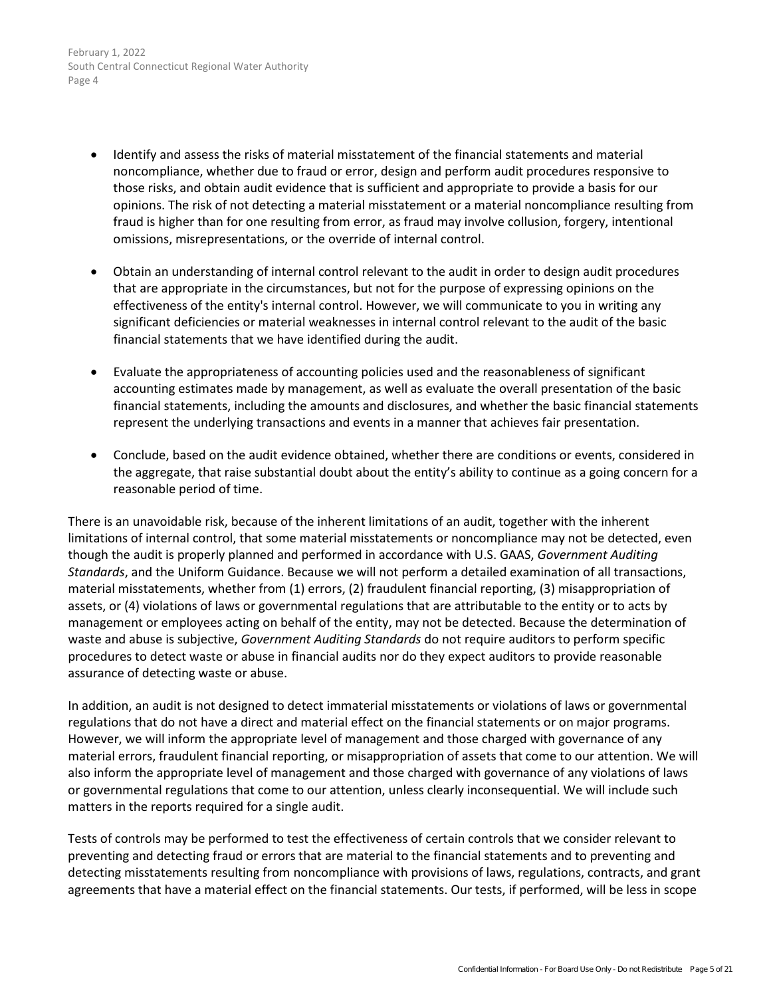- Identify and assess the risks of material misstatement of the financial statements and material noncompliance, whether due to fraud or error, design and perform audit procedures responsive to those risks, and obtain audit evidence that is sufficient and appropriate to provide a basis for our opinions. The risk of not detecting a material misstatement or a material noncompliance resulting from fraud is higher than for one resulting from error, as fraud may involve collusion, forgery, intentional omissions, misrepresentations, or the override of internal control.
- Obtain an understanding of internal control relevant to the audit in order to design audit procedures that are appropriate in the circumstances, but not for the purpose of expressing opinions on the effectiveness of the entity's internal control. However, we will communicate to you in writing any significant deficiencies or material weaknesses in internal control relevant to the audit of the basic financial statements that we have identified during the audit.
- Evaluate the appropriateness of accounting policies used and the reasonableness of significant accounting estimates made by management, as well as evaluate the overall presentation of the basic financial statements, including the amounts and disclosures, and whether the basic financial statements represent the underlying transactions and events in a manner that achieves fair presentation.
- Conclude, based on the audit evidence obtained, whether there are conditions or events, considered in the aggregate, that raise substantial doubt about the entity's ability to continue as a going concern for a reasonable period of time.

There is an unavoidable risk, because of the inherent limitations of an audit, together with the inherent limitations of internal control, that some material misstatements or noncompliance may not be detected, even though the audit is properly planned and performed in accordance with U.S. GAAS, *Government Auditing Standards*, and the Uniform Guidance. Because we will not perform a detailed examination of all transactions, material misstatements, whether from (1) errors, (2) fraudulent financial reporting, (3) misappropriation of assets, or (4) violations of laws or governmental regulations that are attributable to the entity or to acts by management or employees acting on behalf of the entity, may not be detected. Because the determination of waste and abuse is subjective, *Government Auditing Standards* do not require auditors to perform specific procedures to detect waste or abuse in financial audits nor do they expect auditors to provide reasonable assurance of detecting waste or abuse.

In addition, an audit is not designed to detect immaterial misstatements or violations of laws or governmental regulations that do not have a direct and material effect on the financial statements or on major programs. However, we will inform the appropriate level of management and those charged with governance of any material errors, fraudulent financial reporting, or misappropriation of assets that come to our attention. We will also inform the appropriate level of management and those charged with governance of any violations of laws or governmental regulations that come to our attention, unless clearly inconsequential. We will include such matters in the reports required for a single audit.

Tests of controls may be performed to test the effectiveness of certain controls that we consider relevant to preventing and detecting fraud or errors that are material to the financial statements and to preventing and detecting misstatements resulting from noncompliance with provisions of laws, regulations, contracts, and grant agreements that have a material effect on the financial statements. Our tests, if performed, will be less in scope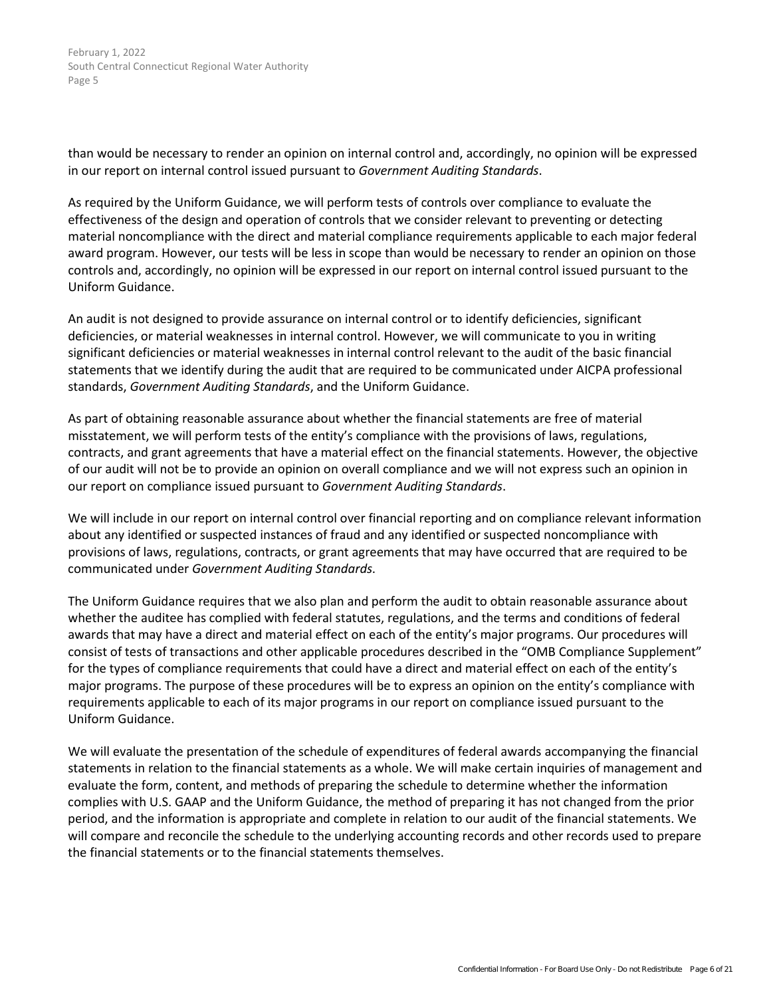than would be necessary to render an opinion on internal control and, accordingly, no opinion will be expressed in our report on internal control issued pursuant to *Government Auditing Standards*.

As required by the Uniform Guidance, we will perform tests of controls over compliance to evaluate the effectiveness of the design and operation of controls that we consider relevant to preventing or detecting material noncompliance with the direct and material compliance requirements applicable to each major federal award program. However, our tests will be less in scope than would be necessary to render an opinion on those controls and, accordingly, no opinion will be expressed in our report on internal control issued pursuant to the Uniform Guidance.

An audit is not designed to provide assurance on internal control or to identify deficiencies, significant deficiencies, or material weaknesses in internal control. However, we will communicate to you in writing significant deficiencies or material weaknesses in internal control relevant to the audit of the basic financial statements that we identify during the audit that are required to be communicated under AICPA professional standards, *Government Auditing Standards*, and the Uniform Guidance.

As part of obtaining reasonable assurance about whether the financial statements are free of material misstatement, we will perform tests of the entity's compliance with the provisions of laws, regulations, contracts, and grant agreements that have a material effect on the financial statements. However, the objective of our audit will not be to provide an opinion on overall compliance and we will not express such an opinion in our report on compliance issued pursuant to *Government Auditing Standards*.

We will include in our report on internal control over financial reporting and on compliance relevant information about any identified or suspected instances of fraud and any identified or suspected noncompliance with provisions of laws, regulations, contracts, or grant agreements that may have occurred that are required to be communicated under *Government Auditing Standards*.

The Uniform Guidance requires that we also plan and perform the audit to obtain reasonable assurance about whether the auditee has complied with federal statutes, regulations, and the terms and conditions of federal awards that may have a direct and material effect on each of the entity's major programs. Our procedures will consist of tests of transactions and other applicable procedures described in the "OMB Compliance Supplement" for the types of compliance requirements that could have a direct and material effect on each of the entity's major programs. The purpose of these procedures will be to express an opinion on the entity's compliance with requirements applicable to each of its major programs in our report on compliance issued pursuant to the Uniform Guidance.

We will evaluate the presentation of the schedule of expenditures of federal awards accompanying the financial statements in relation to the financial statements as a whole. We will make certain inquiries of management and evaluate the form, content, and methods of preparing the schedule to determine whether the information complies with U.S. GAAP and the Uniform Guidance, the method of preparing it has not changed from the prior period, and the information is appropriate and complete in relation to our audit of the financial statements. We will compare and reconcile the schedule to the underlying accounting records and other records used to prepare the financial statements or to the financial statements themselves.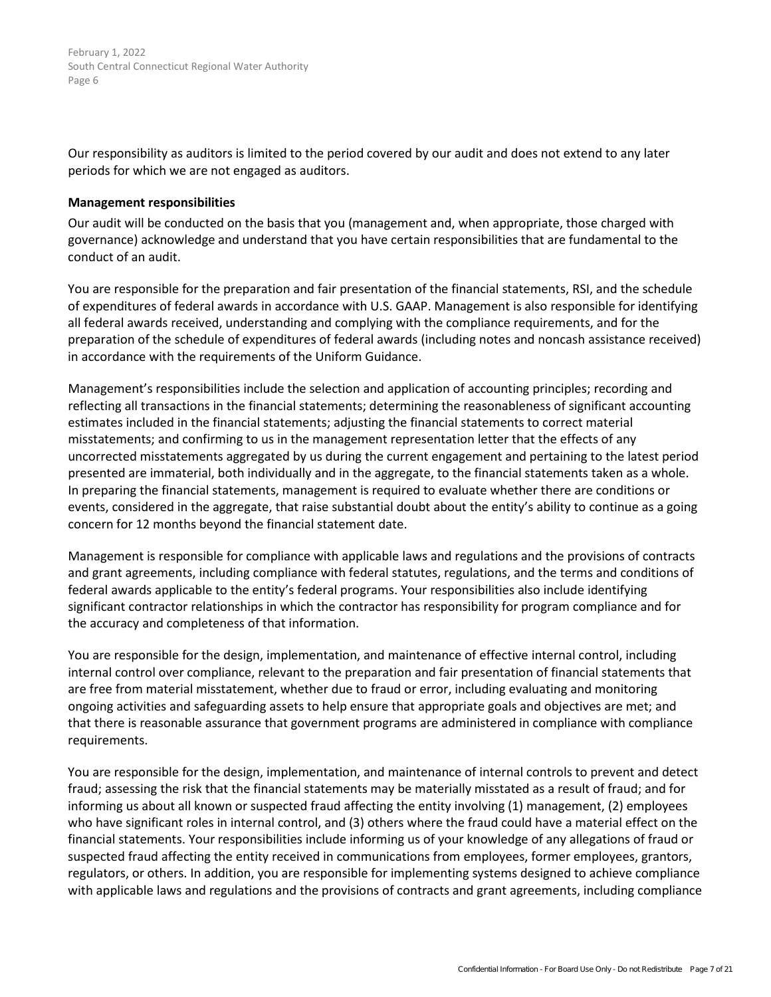Our responsibility as auditors is limited to the period covered by our audit and does not extend to any later periods for which we are not engaged as auditors.

#### **Management responsibilities**

Our audit will be conducted on the basis that you (management and, when appropriate, those charged with governance) acknowledge and understand that you have certain responsibilities that are fundamental to the conduct of an audit.

You are responsible for the preparation and fair presentation of the financial statements, RSI, and the schedule of expenditures of federal awards in accordance with U.S. GAAP. Management is also responsible for identifying all federal awards received, understanding and complying with the compliance requirements, and for the preparation of the schedule of expenditures of federal awards (including notes and noncash assistance received) in accordance with the requirements of the Uniform Guidance.

Management's responsibilities include the selection and application of accounting principles; recording and reflecting all transactions in the financial statements; determining the reasonableness of significant accounting estimates included in the financial statements; adjusting the financial statements to correct material misstatements; and confirming to us in the management representation letter that the effects of any uncorrected misstatements aggregated by us during the current engagement and pertaining to the latest period presented are immaterial, both individually and in the aggregate, to the financial statements taken as a whole. In preparing the financial statements, management is required to evaluate whether there are conditions or events, considered in the aggregate, that raise substantial doubt about the entity's ability to continue as a going concern for 12 months beyond the financial statement date.

Management is responsible for compliance with applicable laws and regulations and the provisions of contracts and grant agreements, including compliance with federal statutes, regulations, and the terms and conditions of federal awards applicable to the entity's federal programs. Your responsibilities also include identifying significant contractor relationships in which the contractor has responsibility for program compliance and for the accuracy and completeness of that information.

You are responsible for the design, implementation, and maintenance of effective internal control, including internal control over compliance, relevant to the preparation and fair presentation of financial statements that are free from material misstatement, whether due to fraud or error, including evaluating and monitoring ongoing activities and safeguarding assets to help ensure that appropriate goals and objectives are met; and that there is reasonable assurance that government programs are administered in compliance with compliance requirements.

You are responsible for the design, implementation, and maintenance of internal controls to prevent and detect fraud; assessing the risk that the financial statements may be materially misstated as a result of fraud; and for informing us about all known or suspected fraud affecting the entity involving (1) management, (2) employees who have significant roles in internal control, and (3) others where the fraud could have a material effect on the financial statements. Your responsibilities include informing us of your knowledge of any allegations of fraud or suspected fraud affecting the entity received in communications from employees, former employees, grantors, regulators, or others. In addition, you are responsible for implementing systems designed to achieve compliance with applicable laws and regulations and the provisions of contracts and grant agreements, including compliance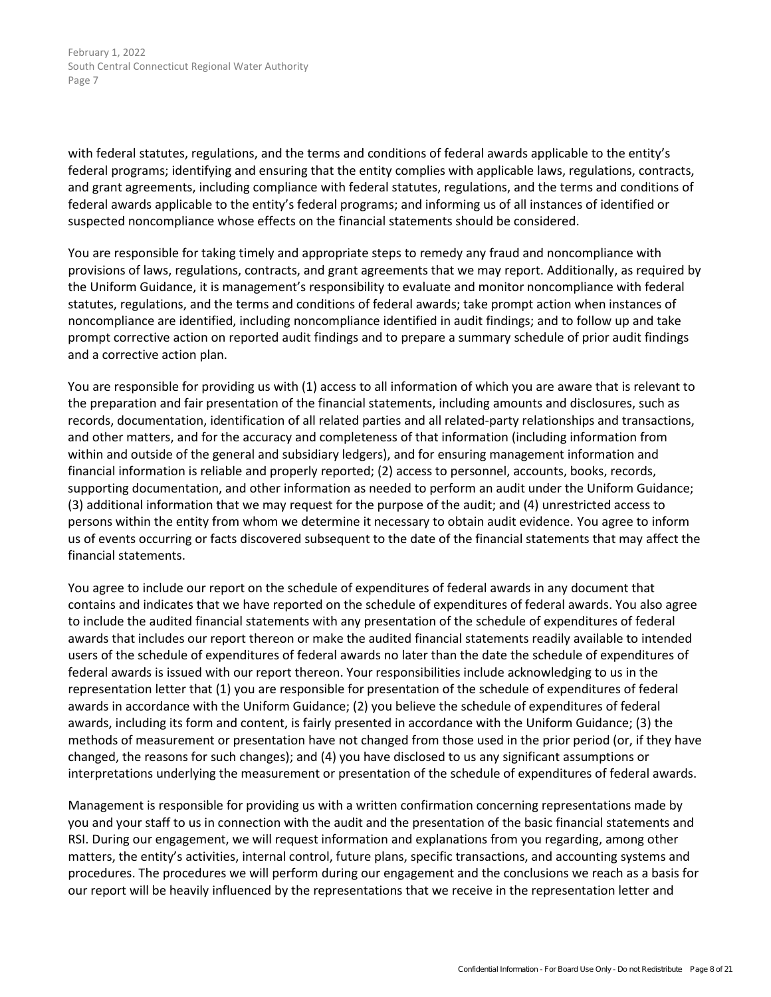with federal statutes, regulations, and the terms and conditions of federal awards applicable to the entity's federal programs; identifying and ensuring that the entity complies with applicable laws, regulations, contracts, and grant agreements, including compliance with federal statutes, regulations, and the terms and conditions of federal awards applicable to the entity's federal programs; and informing us of all instances of identified or suspected noncompliance whose effects on the financial statements should be considered.

You are responsible for taking timely and appropriate steps to remedy any fraud and noncompliance with provisions of laws, regulations, contracts, and grant agreements that we may report. Additionally, as required by the Uniform Guidance, it is management's responsibility to evaluate and monitor noncompliance with federal statutes, regulations, and the terms and conditions of federal awards; take prompt action when instances of noncompliance are identified, including noncompliance identified in audit findings; and to follow up and take prompt corrective action on reported audit findings and to prepare a summary schedule of prior audit findings and a corrective action plan.

You are responsible for providing us with (1) access to all information of which you are aware that is relevant to the preparation and fair presentation of the financial statements, including amounts and disclosures, such as records, documentation, identification of all related parties and all related-party relationships and transactions, and other matters, and for the accuracy and completeness of that information (including information from within and outside of the general and subsidiary ledgers), and for ensuring management information and financial information is reliable and properly reported; (2) access to personnel, accounts, books, records, supporting documentation, and other information as needed to perform an audit under the Uniform Guidance; (3) additional information that we may request for the purpose of the audit; and (4) unres[t](#page-13-0)ricted access to persons within the entity from whom we determine it necessary to obtain audit evidence. You agree to inform us of events occurring or facts discovered subsequent to the date of the financial statements that may affect the financial statements.

You agree to include our report on the schedule of expenditures of federal awards in any document that contains and indicates that we have reported on the schedule of expenditures of federal awards. You also agree to include the audited financial statements with any presentation of the schedule of expenditures of federal awards that includes our report thereon or make the audited financial statements readily available to intended users of the schedule of expenditures of federal awards no later than the date the schedule of expenditures of federal awards is issued with our report thereon. Your responsibilities include acknowledging to us in the representation letter that (1) you are responsible for presentation of the schedule of expenditures of federal awards in accordance with the Uniform Guidance; (2) you believe the schedule of expenditures of federal awards, including its form and content, is fairly presented in accordance with the Uniform Guidance; (3) the methods of measurement or presentation have not changed from those used in the prior period (or, if they have changed, the reasons for such changes); and (4) you have disclosed to us any significant assumptions or interpretations underlying the measurement or presentation of the schedule of expenditures of federal awards.

Management is responsible for providing us with a written confirmation concerning representations made by you and your staff to us in connection with the audit and the presentation of the basic financial statements and RSI. During our engagement, we will request information and explanations from you regarding, among other matters, the entity's activities, internal control, future plans, specific transactions, and accounting systems and procedures. The procedures we will perform during our engagement and the conclusions we reach as a basis for our report will be heavily influenced by the representations that we receive in the representation letter and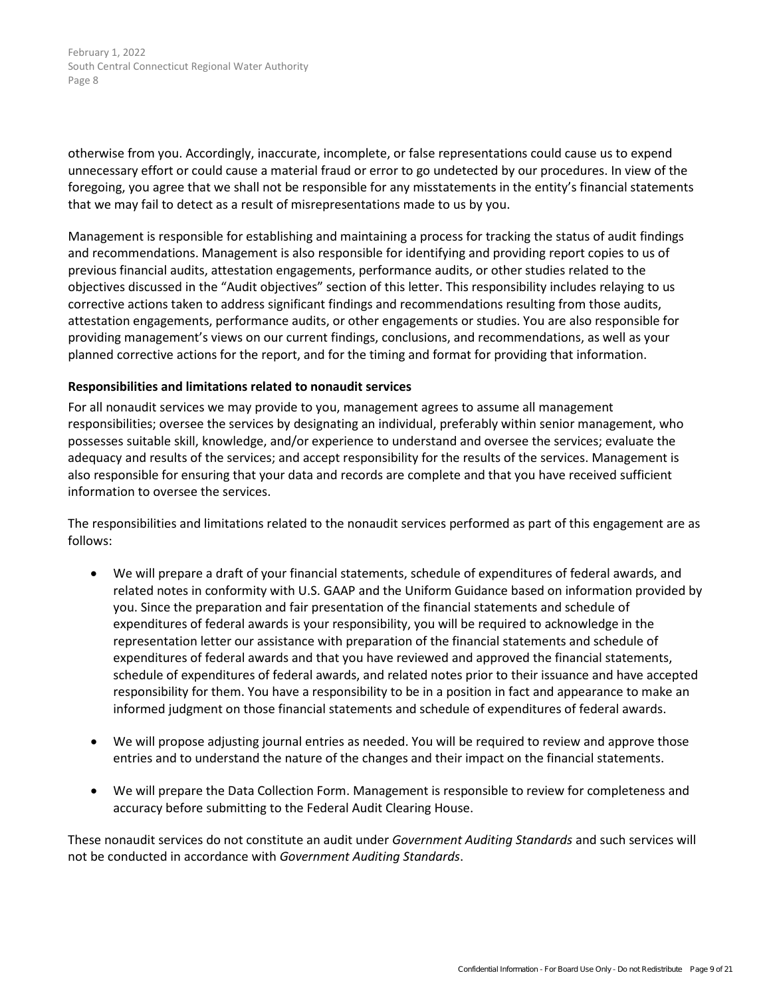otherwise from you. Accordingly, inaccurate, incomplete, or false representations could cause us to expend unnecessary effort or could cause a material fraud or error to go undetected by our procedures. In view of the foregoing, you agree that we shall not be responsible for any misstatements in the entity's financial statements that we may fail to detect as a result of misrepresentations made to us by you.

Management is responsible for establishing and maintaining a process for tracking the status of audit findings and recommendations. Management is also responsible for identifying and providing report copies to us of previous financial audits, attestation engagements, performance audits, or other studies related to the objectives discussed in the "Audit objectives" section of this letter. This responsibility includes relaying to us corrective actions taken to address significant findings and recommendations resulting from those audits, attestation engagements, performance audits, or other engagements or studies. You are also responsible for providing management's views on our current findings, conclusions, and recommendations, as well as your planned corrective actions for the report, and for the timing and format for providing that information.

## **Responsibilities and limitations related to nonaudit services**

For all nonaudit services we may provide to you, management agrees to assume all management responsibilities; oversee the services by designating an individual, preferably within senior management, who possesses suitable skill, knowledge, and/or experience to understand and oversee the services; evaluate the adequacy and results of the services; and accept responsibility for the results of the services. Management is also responsible for ensuring that your data and records are complete and that you have received sufficient information to oversee the services.

The responsibilities and limitations related to the nonaudit services performed as part of this engagement are as follows:

- We will prepare a draft of your financial statements, schedule of expenditures of federal awards, and related notes in conformity with U.S. GAAP and the Uniform Guidance based on information provided by you. Since the preparation and fair presentation of the financial statements and schedule of expenditures of federal awards is your responsibility, you will be required to acknowledge in the representation letter our assistance with preparation of the financial statements and schedule of expenditures of federal awards and that you have reviewed and approved the financial statements, schedule of expenditures of federal awards, and related notes prior to their issuance and have accepted responsibility for them. You have a responsibility to be in a position in fact and appearance to make an informed judgment on those financial statements and schedule of expenditures of federal awards.
- We will propose adjusting journal entries as needed. You will be required to review and approve those entries and to understand the nature of the changes and their impact on the financial statements.
- We will prepare the Data Collection Form. Management is responsible to review for completeness and accuracy before submitting to the Federal Audit Clearing House.

These nonaudit services do not constitute an audit under *Government Auditing Standards* and such services will not be conducted in accordance with *Government Auditing Standards*.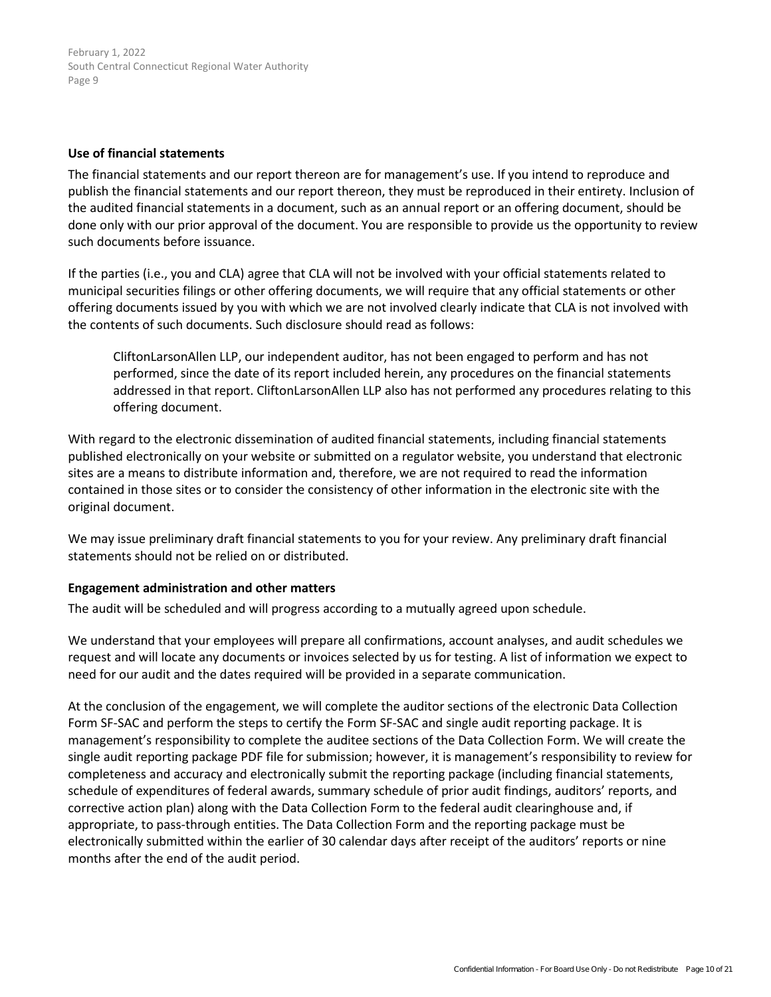#### **Use of financial statements**

The financial statements and our report thereon are for management's use. If you intend to reproduce and publish the financial statements and our report thereon, they must be reproduced in their entirety. Inclusion of the audited financial statements in a document, such as an annual report or an offering document, should be done only with our prior approval of the document. You are responsible to provide us the opportunity to review such documents before issuance.

If the parties (i.e., you and CLA) agree that CLA will not be involved with your official statements related to municipal securities filings or other offering documents, we will require that any official statements or other offering documents issued by you with which we are not involved clearly indicate that CLA is not involved with the contents of such documents. Such disclosure should read as follows:

CliftonLarsonAllen LLP, our independent auditor, has not been engaged to perform and has not performed, since the date of its report included herein, any procedures on the financial statements addressed in that report. CliftonLarsonAllen LLP also has not performed any procedures relating to this offering document.

With regard to the electronic dissemination of audited financial statements, including financial statements published electronically on your website or submitted on a regulator website, you understand that electronic sites are a means to distribute information and, therefore, we are not required to read the information contained in those sites or to consider the consistency of other information in the electronic site with the original document.

We may issue preliminary draft financial statements to you for your review. Any preliminary draft financial statements should not be relied on or distributed.

## **Engagement administration and other matters**

The audit will be scheduled and will progress according to a mutually agreed upon schedule.

We understand that your employees will prepare all confirmations, account analyses, and audit schedules we request and will locate any documents or invoices selected by us for testing. A list of information we expect to need for our audit and the dates required will be provided in a separate communication.

At the conclusion of the engagement, we will complete the auditor sections of the electronic Data Collection Form SF-SAC and perform the steps to certify the Form SF-SAC and single audit reporting package. It is management's responsibility to complete the auditee sections of the Data Collection Form. We will create the single audit reporting package PDF file for submission; however, it is management's responsibility to review for completeness and accuracy and electronically submit the reporting package (including financial statements, schedule of expenditures of federal awards, summary schedule of prior audit findings, auditors' reports, and corrective action plan) along with the Data Collection Form to the federal audit clearinghouse and, if appropriate, to pass-through entities. The Data Collection Form and the reporting package must be electronically submitted within the earlier of 30 calendar days after receipt of the auditors' reports or nine months after the end of the audit period.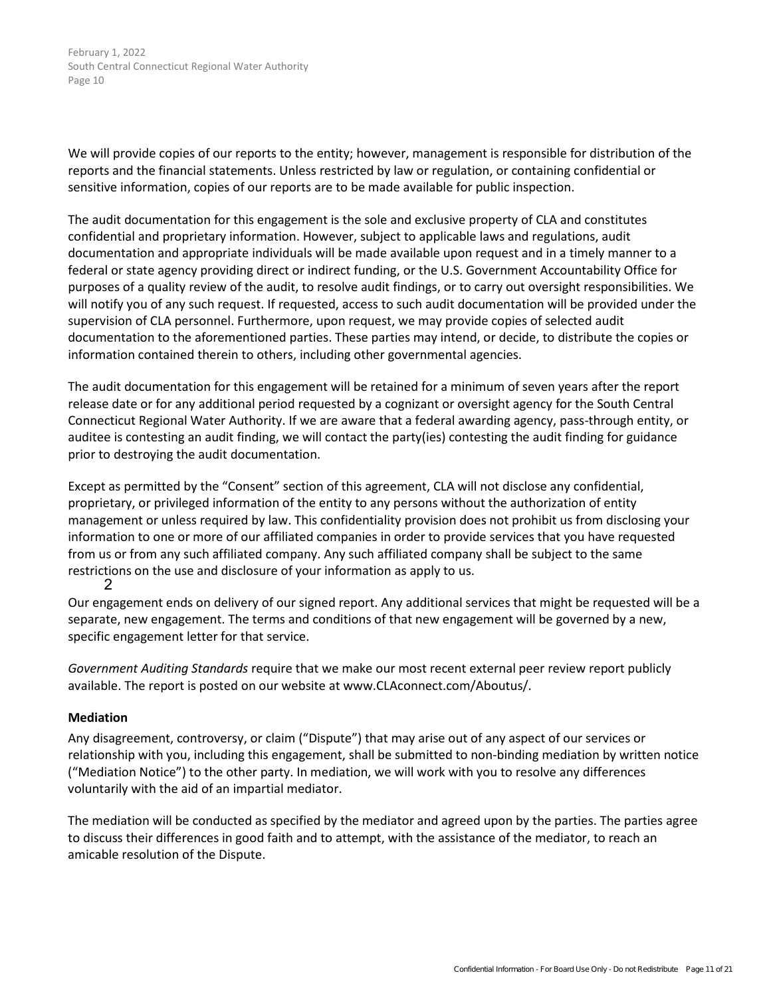We will provide copies of our reports to the entity; however, management is responsible for distribution of the reports and the financial statements. Unless restricted by law or regulation, or containing confidential or sensitive information, copies of our reports are to be made available for public inspection.

The audit documentation for this engagement is the sole and exclusive property of CLA and constitutes confidential and proprietary information. However, subject to applicable laws and regulations, audit documentation and appropriate individuals will be made available upon request and in a timely manner to a federal or state agency providing direct or indirect funding, or the U.S. Government Accountability Office for purposes of a quality review of the audit, to resolve audit findings, or to carry out oversight responsibilities. We will notify you of any such request. If requested, access to such audit documentation will be provided under the supervision of CLA personnel. Furthermore, upon request, we may provide copies of selected audit documentation to the aforementioned parties. These parties may intend, or decide, to distribute the copies or information contained therein to others, including other governmental agencies.

The audit documentation for this engagement will be retained for a minimum of seven years after the report release date or for any additional period requested by a cognizant or oversight agency for the South Central Connecticut Regional Water Authority. If we are aware that a federal awarding agency, pass-through entity, or auditee is contesting an audit finding, we will contact the party(ies) contesting the audit finding for guidance prior to destroying the audit documentation.

Except as permitted by the "Consent" section of this agreement, CLA will not disclose any confidential, proprietary, or privileged information of the entity to any persons without the authorization of entity management or unless required by law. This confidentiality provision does not prohibit us from disclosing your information to one or more of our affiliated companies in order to provide services that you have requested from us or from any such affiliated company. Any such affiliated company shall be subject to the same restrictions on the use and disclosure of your information as apply to us. 2

Our engagement ends on delivery of our signed report. Any additional services that might be requested will be a separate, new engagement. The terms and conditions of that new engagement will be governed by a new, specific engagement letter for that service.

*Government Auditing Standards* require that we make our most recent external peer review report publicly available. The report is posted on our website at www.CLAconnect.com/Aboutus/.

## **Mediation**

Any disagreement, controversy, or claim ("Dispute") that may arise out of any aspect of our services or relationship with you, including this engagement, shall be submitted to non-binding mediation by written notice ("Mediation Notice") to the other party. In mediation, we will work with you to resolve any differences voluntarily with the aid of an impartial mediator.

The mediation will be conducted as specified by the mediator and agreed upon by the parties. The parties agree to discuss their differences in good faith and to attempt, with the assistance of the mediator, to reach an amicable resolution of the Dispute.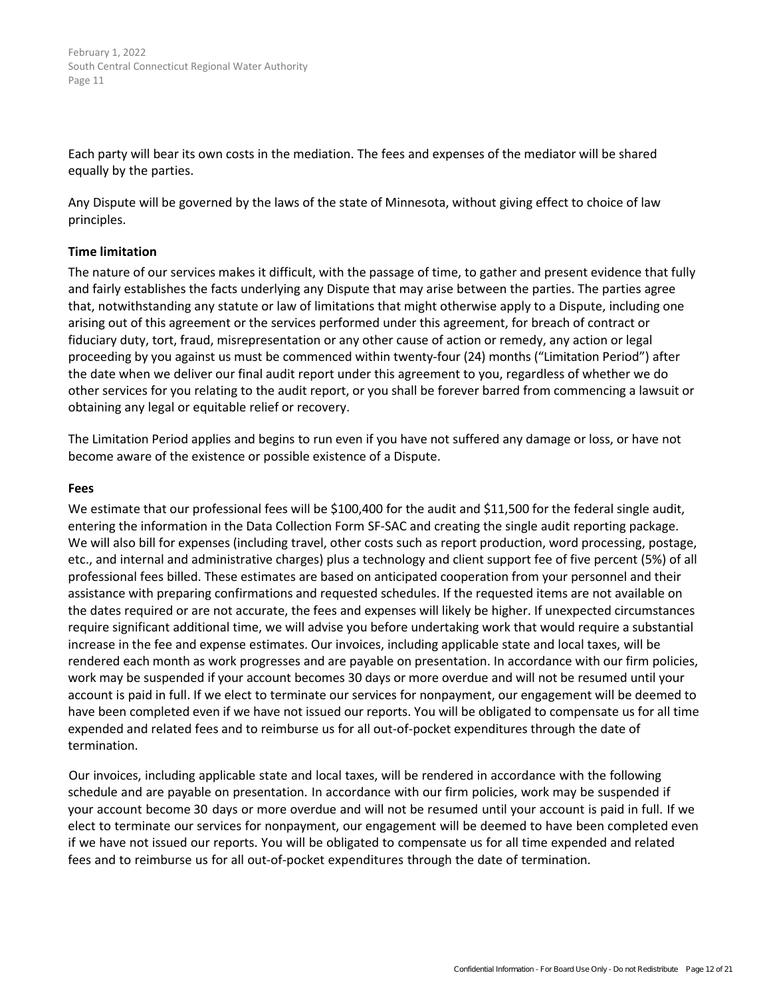Each party will bear its own costs in the mediation. The fees and expenses of the mediator will be shared equally by the parties.

Any Dispute will be governed by the laws of the state of Minnesota, without giving effect to choice of law principles.

## **Time limitation**

The nature of our services makes it difficult, with the passage of time, to gather and present evidence that fully and fairly establishes the facts underlying any Dispute that may arise between the parties. The parties agree that, notwithstanding any statute or law of limitations that might otherwise apply to a Dispute, including one arising out of this agreement or the services performed under this agreement, for breach of contract or fiduciary duty, tort, fraud, misrepresentation or any other cause of action or remedy, any action or legal proceeding by you against us must be commenced within twenty-four (24) months ("Limitation Period") after the date when we deliver our final audit report under this agreement to you, regardless of whether we do other services for you relating to the audit report, or you shall be forever barred from commencing a lawsuit or obtaining any legal or equitable relief or recovery.

The Limitation Period applies and begins to run even if you have not suffered any damage or loss, or have not become aware of the existence or possible existence of a Dispute.

#### **Fees**

We estimate that our professional fees will be \$100,400 for the audit and \$11,500 for the federal single audit, entering the information in the Data Collection Form SF-SAC and creating the single audit reporting package. We will also bill for expenses (including travel, other costs such as report production, word processing, postage, etc., and internal and administrative charges) plus a technology and client support fee of five percent (5%) of all professional fees billed. These estimates are based on anticipated cooperation from your personnel and their assistance with preparing confirmations and requested schedules. If the requested items are not available on the dates required or are not accurate, the fees and expenses will likely be higher. If unexpected circumstances require significant additional time, we will advise you before undertaking work that would require a substantial increase in the fee and expense estimates. Our invoices, including applicable state and local taxes, will be rendered each month as work progresses and are payable on presentation. In accordance with our firm policies, work may be suspended if your account becomes 30 days or more overdue and will not be resumed until your account is paid in full. If we elect to terminate our services for nonpayment, our engagement will be deemed to have been completed even if we have not issued our reports. You will be obligated to compensate us for all time expended and related fees and to reimburse us for all out-of-pocket expenditures through the date of termination.

[O](#page-13-0)ur invoices, including applicable state and local taxes, will be rendered in accordance with the following schedule and are payable on presentation. In accordance with our firm policies, work may be suspended if your account become 30 days or more overdue and will not be resumed until your account is paid in full. If we elect to terminate our services for nonpayment, our engagement will be deemed to have been completed even if we have not issued our reports. You will be obligated to compensate us for all time expended and related fees and to reimburse us for all out-of-pocket expenditures through the date of termination.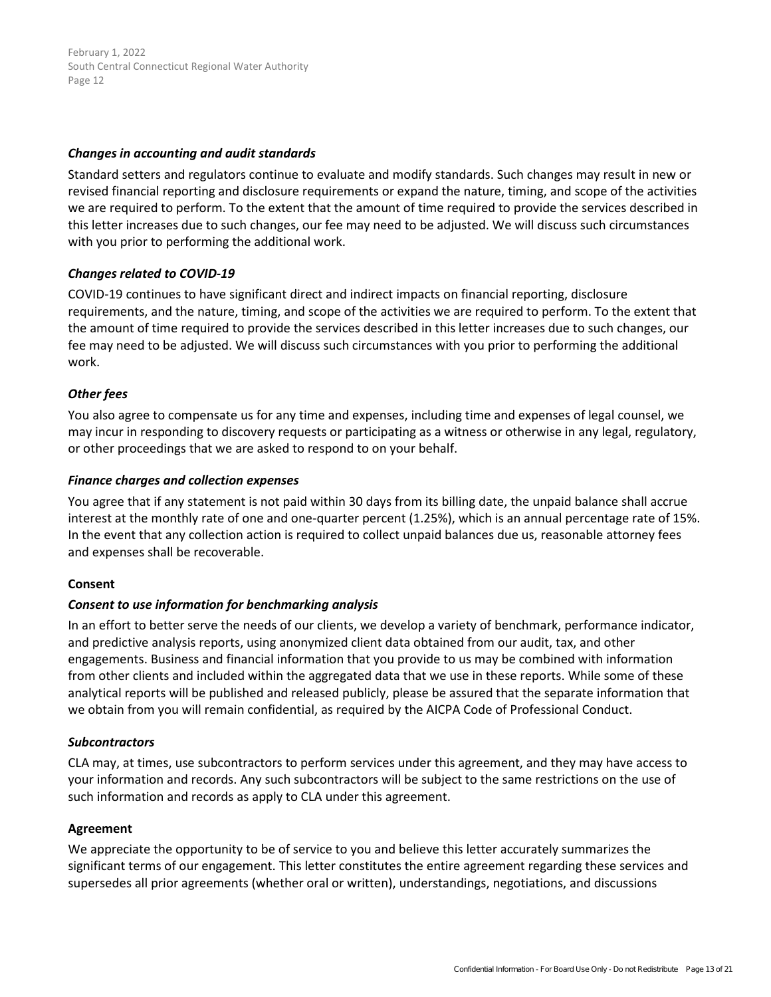## *Changes in accounting and audit standards*

Standard setters and regulators continue to evaluate and modify standards. Such changes may result in new or revised financial reporting and disclosure requirements or expand the nature, timing, and scope of the activities we are required to perform. To the extent that the amount of time required to provide the services described in this letter increases due to such changes, our fee may need to be adjusted. We will discuss such circumstances with you prior to performing the additional work.

## *Changes related to COVID-19*

COVID-19 continues to have significant direct and indirect impacts on financial reporting, disclosure requirements, and the nature, timing, and scope of the activities we are required to perform. To the extent that the amount of time required to provide the services described in this letter increases due to such changes, our fee may need to be adjusted. We will discuss such circumstances with you prior to performing the additional work.

## *Other fees*

You also agree to compensate us for any time and expenses, including time and expenses of legal counsel, we may incur in responding to discovery requests or participating as a witness or otherwise in any legal, regulatory, or other proceedings that we are asked to respond to on your behalf.

## *Finance charges and collection expenses*

You agree that if any statement is not paid within 30 days from its billing date, the unpaid balance shall accrue interest at the monthly rate of one and one-quarter percent (1.25%), which is an annual percentage rate of 15%. In the event that any collection action is required to collect unpaid balances due us, reasonable attorney fees and expenses shall be recoverable.

#### **Consent**

## *Consent to use information for benchmarking analysis*

In an effort to better serve the needs of our clients, we develop a variety of benchmark, performance indicator, and predictive analysis reports, using anonymized client data obtained from our audit, tax, and other engagements. Business and financial information that you provide to us may be combined with information from other clients and included within the aggregated data that we use in these reports. While some of these analytical reports will be published and released publicly, please be assured that the separate information that we obtain from you will remain confidential, as required by the AICPA Code of Professional Conduct.

## *Subcontractors*

CLA may, at times, use subcontractors to perform services under this agreement, and they may have access to your information and records. Any such subcontractors will be subject to the same restrictions on the use of such information and records as apply to CLA under this agreement.

#### **Agreement**

We appreciate the opportunity to be of service to you and believe this letter accurately summarizes the significant terms of our engagement. This letter constitutes the entire agreement regarding these services and supersedes all prior agreements (whether oral or written), understandings, negotiations, and discussions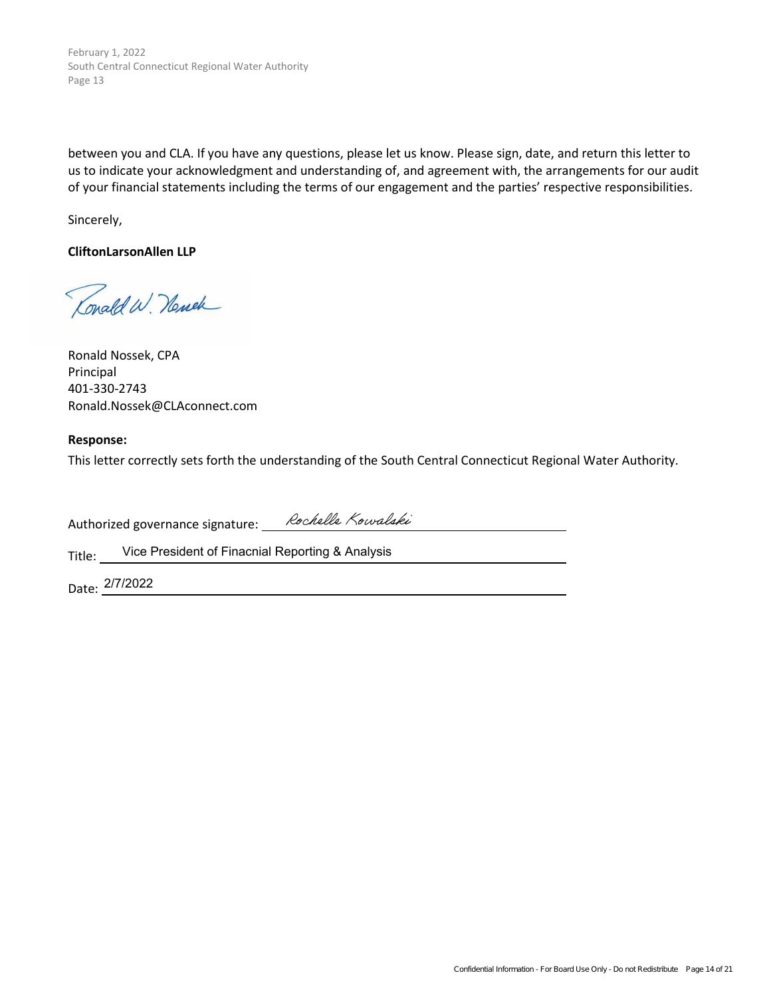<span id="page-13-0"></span>between you and CLA. If you have any questions, please let us know. Please sign, date, and return this letter to us to indicate your acknowledgment and understanding of, and agreement with, the arrangements for our audit of your financial statements including the terms of our engagement and the parties' respective responsibilities.

Sincerely,

**CliftonLarsonAllen LLP**

Conald W. Newer

Ronald Nossek, CPA Principal 401-330-2743 Ronald.Nossek@CLAconnect.com

#### **Response:**

This letter correctly sets forth the understanding of the South Central Connecticut Regional Water Authority.

Authorized governance signature: Rochelle Kowalski

Title: Vice President of Finacnial Reporting & Analysis

Date: 2/7/2022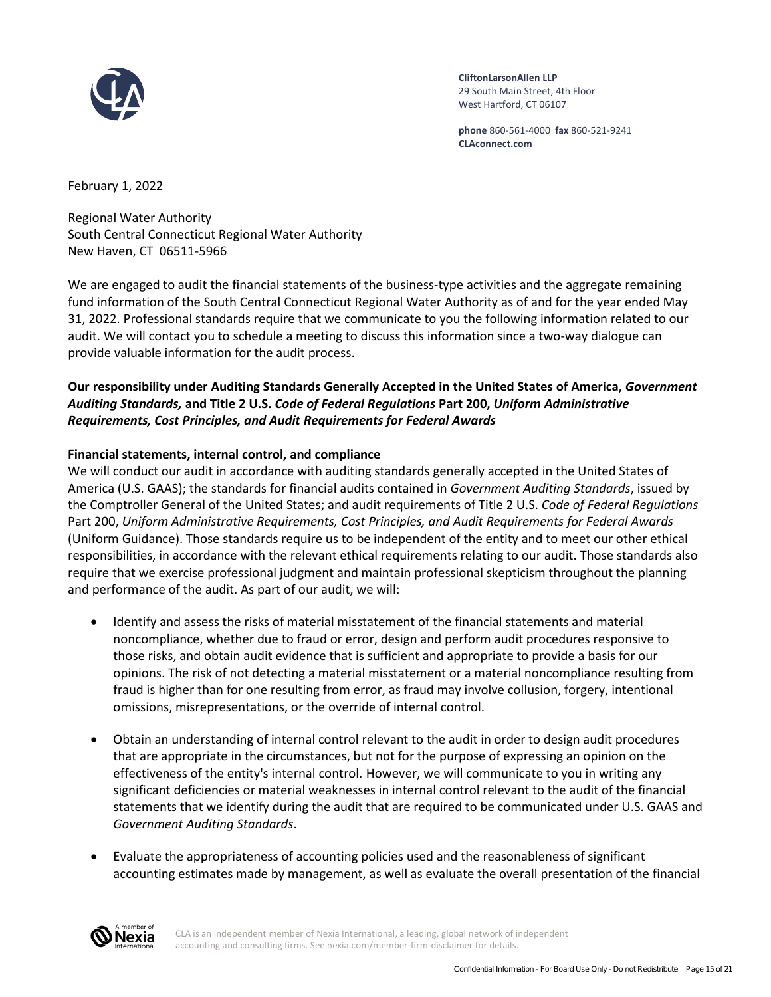<span id="page-14-0"></span>

**CliftonLarsonAllen LLP** 29 South Main Street, 4th Floor West Hartford, CT 06107

**phone** 860-561-4000 **fax** 860-521-9241 **CLAconnect.com**

February 1, 2022

Regional Water Authority South Central Connecticut Regional Water Authority New Haven, CT 06511-5966

We are engaged to audit the financial statements of the business-type activities and the aggregate remaining fund information of the South Central Connecticut Regional Water Authority as of and for the year ended May 31, 2022. Professional standards require that we communicate to you the following information related to our audit. We will contact you to schedule a meeting to discuss this information since a two-way dialogue can provide valuable information for the audit process.

# **Our responsibility under Auditing Standards Generally Accepted in the United States of America,** *Government Auditing Standards,* **and Title 2 U.S.** *Code of Federal Regulations* **Part 200,** *Uniform Administrative Requirements, Cost Principles, and Audit Requirements for Federal Awards*

# **Financial statements, internal control, and compliance**

We will conduct our audit in accordance with auditing standards generally accepted in the United States of America (U.S. GAAS); the standards for financial audits contained in *Government Auditing Standards*, issued by the Comptroller General of the United States; and audit requirements of Title 2 U.S. *Code of Federal Regulations* Part 200, *Uniform Administrative Requirements, Cost Principles, and Audit Requirements for Federal Awards* (Uniform Guidance). Those standards require us to be independent of the entity and to meet our other ethical responsibilities, in accordance with the relevant ethical requirements relating to our audit. Those standards also require that we exercise professional judgment and maintain professional skepticism throughout the planning and performance of the audit. As part of our audit, we will:

- Identify and assess the risks of material misstatement of the financial statements and material noncompliance, whether due to fraud or error, design and perform audit procedures responsive to those risks, and obtain audit evidence that is sufficient and appropriate to provide a basis for our opinions. The risk of not detecting a material misstatement or a material noncompliance resulting from fraud is higher than for one resulting from error, as fraud may involve collusion, forgery, intentional omissions, misrepresentations, or the override of internal control.
- Obtain an understanding of internal control relevant to the audit in order to design audit procedures that are appropriate in the circumstances, but not for the purpose of expressing an opinion on the effectiveness of the entity's internal control. [H](#page-18-0)owever, we will communicate to you in writing any significant deficiencies or material weaknesses in internal control relevant to the audit of the financial statements that we identify during the audit that are required to be communicated under U.S. GAAS and *Government Auditing Standards*.
- Evaluate the appropriateness of accounting policies used and the reasonableness of significant accounting estimates made by management, as well as evaluate the overall presentation of the financial



CLA is an independent member of Nexia International, a leading, global network of independent accounting and consulting firms. See nexia.com/member-firm-disclaimer for details.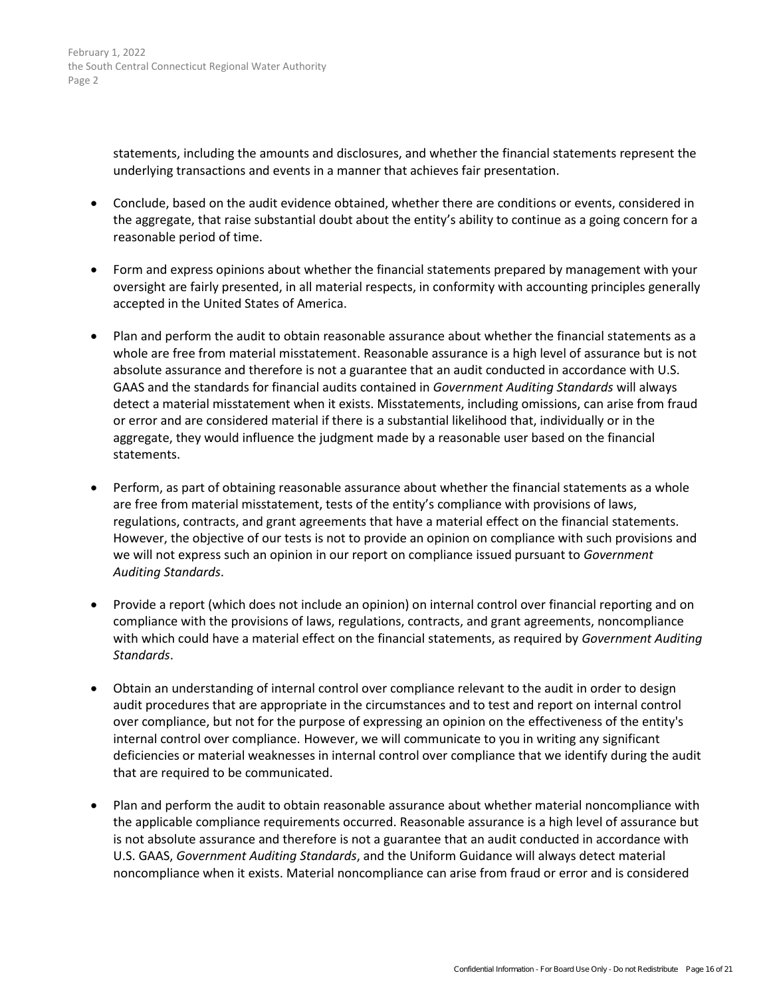> statements, including the amounts and disclosures, and whether the financial statements represent the underlying transactions and events in a manner that achieves fair presentation.

- Conclude, based on the audit evidence obtained, whether there are conditions or events, considered in the aggregate, that raise substantial doubt about the entity's ability to continue as a going concern for a reasonable period of time.
- Form and express opinions about whether the financial statements prepared by management with your oversight are fairly presented, in all material respects, in conformity with accounting principles generally accepted in the United States of America.
- Plan and perform the audit to obtain reasonable assurance about whether the financial statements as a whole are free from material misstatement. Reasonable assurance is a high level of assurance but is not absolute assurance and therefore is not a guarantee that an audit conducted in accordance with U.S. GAAS and the standards for financial audits contained in *Government Auditing Standards* will always detect a material misstatement when it exists. Misstatements, including omissions, can arise from fraud or error and are considered material if there is a substantial likelihood that, individually or in the aggregate, they would influence the judgment made by a reasonable user based on the financial statements.
- Perform, as part of obtaining reasonable assurance about whether the financial statements as a whole are free from material misstatement, tests of the entity's compliance with provisions of laws, regulations, contracts, and grant agreements that have a material effect on the financial statements. However, the objective of our tests is not to provide an opinion on compliance with such provisions and we will not express such an opinion in our report on compliance issued pursuant to *Government Auditing Standards*.
- Provide a report (which does not include an opinion) on internal control over financial reporting and on compliance with the provisions of laws, regulations, contracts, and grant agreements, noncompliance with which could have a material effect on the financial statements, as required by *Government Auditing Standards*.
- Obtain an understanding of internal control over compliance relevant to the audit in order to design audit procedures that are appropriate in the circumstances and to test and report on internal control over compliance, but not for the purpose of expressing an opinion on the effectiveness of the entity's internal control over compliance. [H](#page-18-0)owever, we will communicate to you in writing any significant deficiencies or material weaknesses in internal control over compliance that we identify during the audit that are required to be communicated.
- Plan and perform the audit to obtain reasonable assurance about whether material noncompliance with the applicable compliance requirements occurred. Reasonable assurance is a high level of assurance but is not absolute assurance and therefore is not a guarantee that an audit conducted in accordance with U.S. GAAS, *Government Auditing Standards*, and the Uniform Guidance will always detect material noncompliance when it exists. Material noncompliance can arise from fraud or error and is considered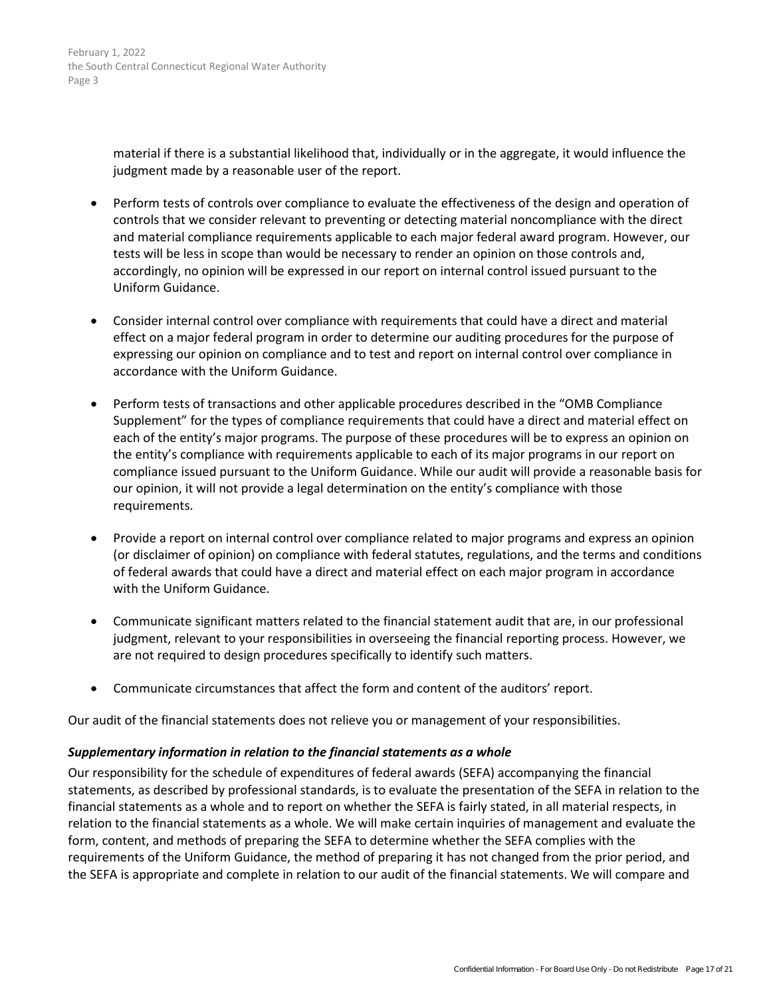material if there is a substantial likelihood that, individually or in the aggregate, it would influence the judgment made by a reasonable user of the report.

- Perform tests of controls over compliance to evaluate the effectiveness of the design and operation of controls that we consider relevant to preventing or detecting material noncompliance with the direct and material compliance requirements applicable to each major federal award program. However, our tests will be less in scope than would be necessary to render an opinion on those controls and, accordingly, no opinion will be expressed in our report on internal control issued pursuant to the Uniform Guidance.
- Consider internal control over compliance with requirements that could have a direct and material effect on a major federal program in order to determine our auditing procedures for the purpose of expressing our opinion on compliance and to test and report on internal control over compliance in accordance with the Uniform Guidance.
- Perform tests of transactions and other applicable procedures described in the "OMB Compliance Supplement" for the types of compliance requirements that could have a direct and material effect on each of the entity's major programs. The purpose of these procedures will be to express an opinion on the entity's compliance with requirements applicable to each of its major programs in our report on compliance issued pursuant to the Uniform Guidance. While our audit will provide a reasonable basis for our opinion, it will not provide a legal determination on the entity's compliance with those requirements.
- Provide a report on internal control over compliance related to major programs and express an opinion (or disclaimer of opinion) on compliance with federal statutes, regulations, and the terms and conditions of federal awards that could have a direct and material effect on each major program in accordance with the Uniform Guidance.
- Communicate significant matters related to the financial statement audit that are, in our professional judgment, relevant to your responsibilities in overseeing the financial reporting process. However, we are not required to design procedures specifically to identify such matters.
- Communicate circumstances that affect the form and content of the auditors' report.

Our audit of the financial statements does not relieve you or management of your responsibilities.

# *Supplementary information in relation to the financial statements as a whole*

Our responsibility for the schedule of expenditures of federal awards (SEFA) accompanying the financial statements, as described by professional standards, is to evaluate the presentation of the SEFA in relation to the financial statements as a whole and to report on whether the SEFA is fairly stated, in all material respects, in relation to the financial statements as a whole. We will make certain inquiries of management and evaluate the form, content, and methods of preparing the SEFA to determine whether the SEFA complies with the requirements of the Uniform Guidance, the method of preparing it has not changed from the prior period, and the SEFA is appropriate and complete in relation to our audit of the financial statements. We will compare and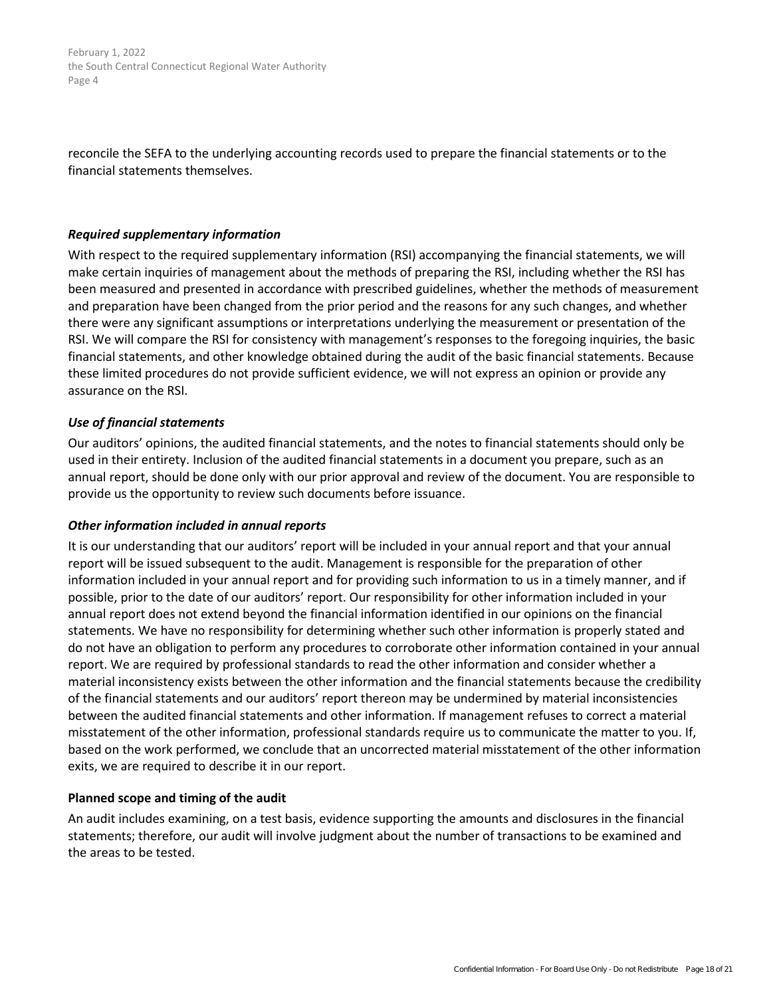reconcile the SEFA to the underlying accounting records used to prepare the financial statements or to the financial statements themselves.

#### *Required supplementary information*

With respect to the required supplementary information (RSI) accompanying the financial statements, we will make certain inquiries of management about the methods of preparing the RSI, including whether the RSI has been measured and presented in accordance with prescribed guidelines, whether the methods of measurement and preparation have been changed from the prior period and the reasons for any such changes, and whether there were any significant assumptions or interpretations underlying the measurement or presentation of the RSI. We will compare the RSI for consistency with management's responses to the foregoing inquiries, the basic financial statements, and other knowledge obtained during the audit of the basic financial statements. Because these limited procedures do not provide sufficient evidence, we will not express an opinion or provide any assurance on the RSI.

## *Use of financial statements*

Our auditors' opinions, the audited financial statements, and the notes to financial statements should only be used in their entirety. Inclusion of the audited financial statements in a document you prepare, such as an annual report, should be done only with our prior approval and review of the document. You are responsible to provide us the opportunity to review such documents before issuance.

#### *Other information included in annual reports*

It is our understanding that our auditors' report will be included in your annual report and that your annual report will be issued subsequent to the audit. Management is responsible for the preparation of other information included in your annual report and for providing such information to us in a timely manner, and if possible, prior to the date of our auditors' report. Our responsibility for other information included in your annual report does not extend beyond the financial information identified in our opinions on the financial statements. We have no responsibility for determining whether such other information is properly stated and do not have an obligation to perform any procedures to corroborate other information contained in your annual report. We are required by professional standards to read the other information and consider whether a material inconsistency exists between the other information and the financial statements because the credibility of the financial statements and our auditors' report thereon may be undermined by material inconsistencies between the audited financial statements and other information. If management refuses to correct a material misstatement of the other information, professional standards require us to communicate the matter to you. If, based on the work performed, we conclude that an uncorrected material misstatement of the other information exits, we are required to describe it in our report.

#### **Planned scope and timing of the audit**

An audit includes examining, on a test basis, evidence supporting the amounts and disclosures in the financial statements; therefore, our audit will involve judgment about the number of transactions to be examined and the areas to be tested.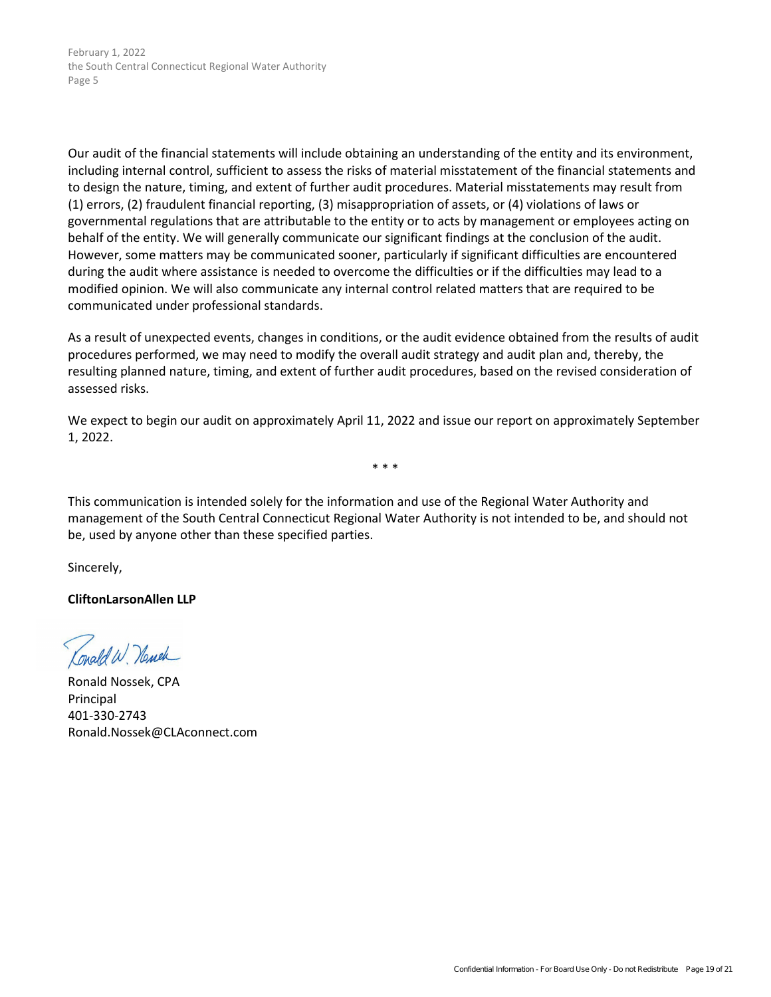<span id="page-18-0"></span>Our audit of the financial statements will include obtaining an understanding of the entity and its environment, including internal control, sufficient to assess the risks of material misstatement of the financial statements and to design the nature, timing, and extent of further audit procedures. Material misstatements may result from (1) errors, (2) fraudulent financial reporting, (3) misappropriation of assets, or (4) violations of laws or governmental regulations that are attributable to the entity or to acts by management or employees acting on behalf of the entity. We will generally communicate our significant findings at the conclusion of the audit. However, some matters may be communicated sooner, particularly if significant difficulties are encountered during the audit where assistance is needed to overcome the difficulties or if the difficulties may lead to a modified opinion. We will also communicate any internal control related matters that are required to be communicated under professional standards.

As a result of unexpected events, changes in conditions, or the audit evidence obtained from the results of audit procedures performed, we may need to modify the overall audit strategy and audit plan and, thereby, the resulting planned nature, timing, and extent of further audit procedures, based on the revised consideration of assessed risks.

We expect to begin our audit on approximately April 11, 2022 and issue our report on approximately September 1, 2022.

\* \* \*

This communication is intended solely for the information and use of the Regional Water Authority and management of the South Central Connecticut Regional Water Authority is not intended to be, and should not be, used by anyone other than these specified parties.

Sincerely,

**CliftonLarsonAllen LLP**

Conald W. Newer

Ronald Nossek, CPA Principal 401-330-2743 Ronald.Nossek@CLAconnect.com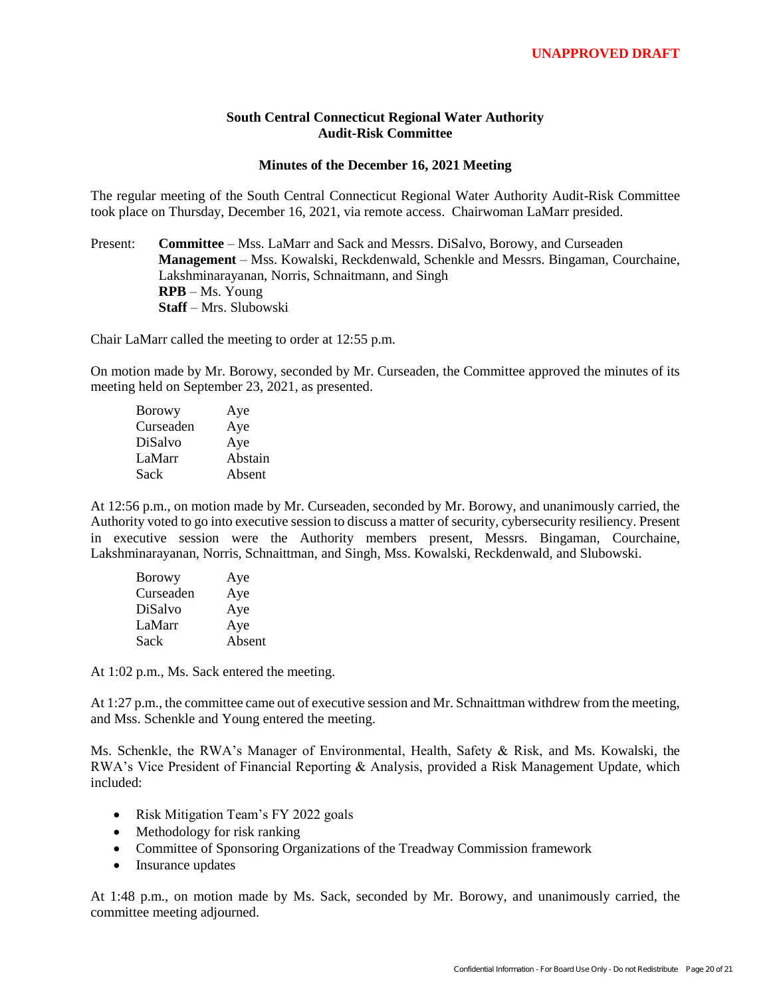## **South Central Connecticut Regional Water Authority Audit-Risk Committee**

#### **Minutes of the December 16, 2021 Meeting**

<span id="page-19-0"></span>The regular meeting of the South Central Connecticut Regional Water Authority Audit-Risk Committee took place on Thursday, December 16, 2021, via remote access. Chairwoman LaMarr presided.

Present: **Committee** – Mss. LaMarr and Sack and Messrs. DiSalvo, Borowy, and Curseaden **Management** – Mss. Kowalski, Reckdenwald, Schenkle and Messrs. Bingaman, Courchaine, Lakshminarayanan, Norris, Schnaitmann, and Singh **RPB** – Ms. Young **Staff** – Mrs. Slubowski

Chair LaMarr called the meeting to order at 12:55 p.m.

On motion made by Mr. Borowy, seconded by Mr. Curseaden, the Committee approved the minutes of its meeting held on September 23, 2021, as presented.

| Aye     |
|---------|
| Aye     |
| Aye     |
| Abstain |
| Absent  |
|         |

At 12:56 p.m., on motion made by Mr. Curseaden, seconded by Mr. Borowy, and unanimously carried, the Authority voted to go into executive session to discuss a matter of security, cybersecurity resiliency. Present in executive session were the Authority members present, Messrs. Bingaman, Courchaine, Lakshminarayanan, Norris, Schnaittman, and Singh, Mss. Kowalski, Reckdenwald, and Slubowski.

| <b>Borowy</b> | Aye    |
|---------------|--------|
| Curseaden     | Aye    |
| DiSalvo       | Aye    |
| LaMarr        | Aye    |
| Sack          | Absent |

At 1:02 p.m., Ms. Sack entered the meeting.

At 1:27 p.m., the committee came out of executive session and Mr. Schnaittman withdrew from the meeting, and Mss. Schenkle and Young entered the meeting.

Ms. Schenkle, the RWA's Manager of Environmental, Health, Safety & Risk, and Ms. Kowalski, the RWA's Vice President of Financial Reporting & Analysis, provided a Risk Management Update, which included:

- Risk Mitigation Team's FY 2022 goals
- Methodology for risk ranking
- Committee of Sponsoring Organizations of the Treadway Commission framework
- Insurance updates

At 1:48 p.m., on motion made by Ms. Sack, seconded by Mr. Borowy, and unanimously carried, the committee meeting adjourned.